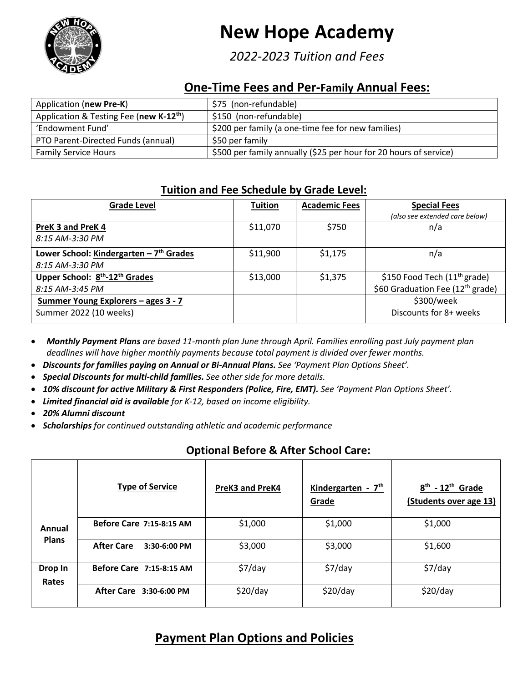

# **New Hope Academy**

*2022-2023 Tuition and Fees*

## **One-Time Fees and Per-Family Annual Fees:**

| Application (new Pre-K)                             | \$75 (non-refundable)                                             |
|-----------------------------------------------------|-------------------------------------------------------------------|
| Application & Testing Fee (new K-12 <sup>th</sup> ) | \$150 (non-refundable)                                            |
| 'Endowment Fund'                                    | \$200 per family (a one-time fee for new families)                |
| PTO Parent-Directed Funds (annual)                  | \$50 per family                                                   |
| <b>Family Service Hours</b>                         | \$500 per family annually (\$25 per hour for 20 hours of service) |

## **Tuition and Fee Schedule by Grade Level:**

| <b>Grade Level</b>                                     | <b>Tuition</b> | <b>Academic Fees</b> | <b>Special Fees</b>                          |
|--------------------------------------------------------|----------------|----------------------|----------------------------------------------|
|                                                        |                |                      | (also see extended care below)               |
| PreK 3 and PreK 4                                      | \$11,070       | \$750                | n/a                                          |
| 8:15 AM-3:30 PM                                        |                |                      |                                              |
| Lower School: Kindergarten $-7th$ Grades               | \$11,900       | \$1,175              | n/a                                          |
| 8:15 AM-3:30 PM                                        |                |                      |                                              |
| Upper School: 8 <sup>th</sup> -12 <sup>th</sup> Grades | \$13,000       | \$1,375              | \$150 Food Tech $(11th$ grade)               |
| 8:15 AM-3:45 PM                                        |                |                      | \$60 Graduation Fee (12 <sup>th</sup> grade) |
| <u>Summer Young Explorers - ages 3 - 7</u>             |                |                      | \$300/week                                   |
| Summer 2022 (10 weeks)                                 |                |                      | Discounts for 8+ weeks                       |

*Monthly Payment Plans are based 11-month plan June through April. Families enrolling past July payment plan deadlines will have higher monthly payments because total payment is divided over fewer months.* 

- *Discounts for families paying on Annual or Bi-Annual Plans. See 'Payment Plan Options Sheet'.*
- *Special Discounts for multi-child families. See other side for more details.*
- *10% discount for active Military & First Responders (Police, Fire, EMT). See 'Payment Plan Options Sheet'.*
- *Limited financial aid is available for K-12, based on income eligibility.*
- *20% Alumni discount*
- *Scholarships for continued outstanding athletic and academic performance*

## **Optional Before & After School Care:**

|                        | <b>Type of Service</b>              | <b>PreK3 and PreK4</b> | Kindergarten - $7th$<br>Grade | $8th$ - 12 <sup>th</sup> Grade<br>(Students over age 13) |
|------------------------|-------------------------------------|------------------------|-------------------------------|----------------------------------------------------------|
| Annual<br><b>Plans</b> | Before Care 7:15-8:15 AM            | \$1,000                | \$1,000                       | \$1,000                                                  |
|                        | <b>After Care</b><br>$3:30-6:00$ PM | \$3,000                | \$3,000                       | \$1,600                                                  |
| Drop In<br>Rates       | Before Care 7:15-8:15 AM            | \$7/day                | \$7/day                       | $$7$ /day                                                |
|                        | After Care 3:30-6:00 PM             | \$20/day               | \$20/day                      | \$20/day                                                 |

## **Payment Plan Options and Policies**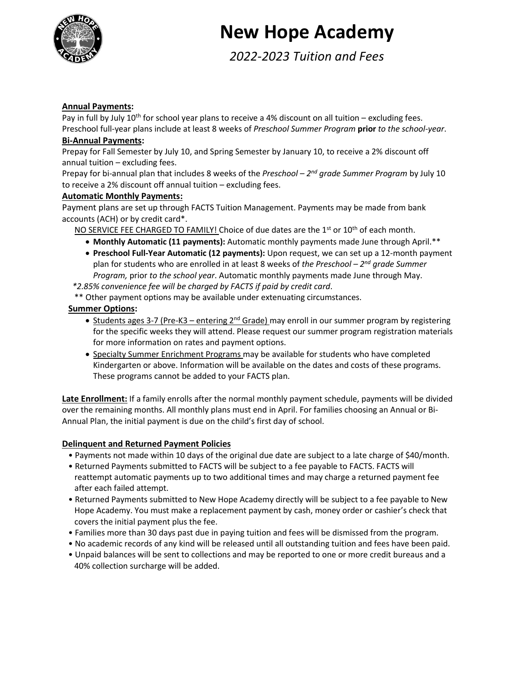

# **New Hope Academy**

*2022-2023 Tuition and Fees*

#### **Annual Payments:**

Pay in full by July 10<sup>th</sup> for school year plans to receive a 4% discount on all tuition – excluding fees. Preschool full-year plans include at least 8 weeks of *Preschool Summer Program* **prior** *to the school-year*.

#### **Bi-Annual Payments:**

Prepay for Fall Semester by July 10, and Spring Semester by January 10, to receive a 2% discount off annual tuition – excluding fees.

Prepay for bi-annual plan that includes 8 weeks of the *Preschool – 2<sup>nd</sup> grade Summer Program* by July 10 to receive a 2% discount off annual tuition – excluding fees.

#### **Automatic Monthly Payments:**

Payment plans are set up through FACTS Tuition Management. Payments may be made from bank accounts (ACH) or by credit card\*.

NO SERVICE FEE CHARGED TO FAMILY! Choice of due dates are the  $1<sup>st</sup>$  or  $10<sup>th</sup>$  of each month.

- **Monthly Automatic (11 payments):** Automatic monthly payments made June through April.\*\*
- **Preschool Full-Year Automatic (12 payments):** Upon request, we can set up a 12-month payment plan for students who are enrolled in at least 8 weeks of *the Preschool – 2 nd grade Summer Program,* prior *to the school year*. Automatic monthly payments made June through May.

 *\*2.85% convenience fee will be charged by FACTS if paid by credit card*.

\*\* Other payment options may be available under extenuating circumstances.

#### **Summer Options:**

- Students ages 3-7 (Pre-K3 entering 2<sup>nd</sup> Grade) may enroll in our summer program by registering for the specific weeks they will attend. Please request our summer program registration materials for more information on rates and payment options.
- **Specialty Summer Enrichment Programs may be available for students who have completed** Kindergarten or above. Information will be available on the dates and costs of these programs. These programs cannot be added to your FACTS plan.

Late Enrollment: If a family enrolls after the normal monthly payment schedule, payments will be divided over the remaining months. All monthly plans must end in April. For families choosing an Annual or Bi-Annual Plan, the initial payment is due on the child's first day of school.

#### **Delinquent and Returned Payment Policies**

- Payments not made within 10 days of the original due date are subject to a late charge of \$40/month.
- Returned Payments submitted to FACTS will be subject to a fee payable to FACTS. FACTS will reattempt automatic payments up to two additional times and may charge a returned payment fee after each failed attempt.
- Returned Payments submitted to New Hope Academy directly will be subject to a fee payable to New Hope Academy. You must make a replacement payment by cash, money order or cashier's check that covers the initial payment plus the fee.
- Families more than 30 days past due in paying tuition and fees will be dismissed from the program.
- No academic records of any kind will be released until all outstanding tuition and fees have been paid.
- Unpaid balances will be sent to collections and may be reported to one or more credit bureaus and a 40% collection surcharge will be added.